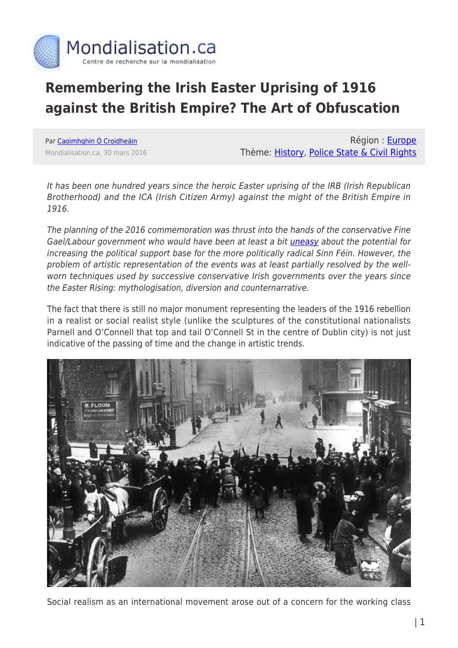

# **Remembering the Irish Easter Uprising of 1916 against the British Empire? The Art of Obfuscation**

Par [Caoimhghin Ó Croidheáin](https://www.mondialisation.ca/author/caoimhghin-croidhe-in) Mondialisation.ca, 30 mars 2016

Région : [Europe](https://www.mondialisation.ca/region/europe) Thème: [History](https://www.mondialisation.ca/theme/culture-society-history), [Police State & Civil Rights](https://www.mondialisation.ca/theme/police-state-civil-rights)

It has been one hundred years since the heroic Easter uprising of the IRB (Irish Republican Brotherhood) and the ICA (Irish Citizen Army) against the might of the British Empire in 1916.

The planning of the 2016 commemoration was thrust into the hands of the conservative Fine Gael/Labour government who would have been at least a bit [uneasy](http://www.politico.eu/article/why-irelands-political-establishment-fears-sinn-fein-fine-gael-fianna-fail/) about the potential for increasing the political support base for the more politically radical Sinn Féin. However, the problem of artistic representation of the events was at least partially resolved by the wellworn techniques used by successive conservative Irish governments over the years since the Easter Rising: mythologisation, diversion and counternarrative.

The fact that there is still no major monument representing the leaders of the 1916 rebellion in a realist or social realist style (unlike the sculptures of the constitutional nationalists Parnell and O'Connell that top and tail O'Connell St in the centre of Dublin city) is not just indicative of the passing of time and the change in artistic trends.



Social realism as an international movement arose out of a concern for the working class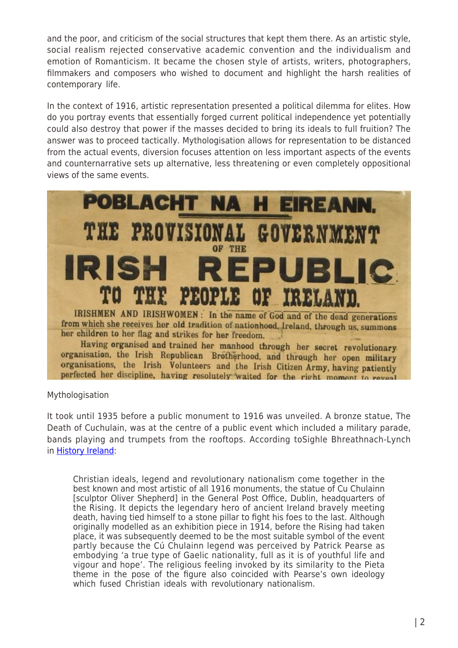and the poor, and criticism of the social structures that kept them there. As an artistic style, social realism rejected conservative academic convention and the individualism and emotion of Romanticism. It became the chosen style of artists, writers, photographers, filmmakers and composers who wished to document and highlight the harsh realities of contemporary life.

In the context of 1916, artistic representation presented a political dilemma for elites. How do you portray events that essentially forged current political independence yet potentially could also destroy that power if the masses decided to bring its ideals to full fruition? The answer was to proceed tactically. Mythologisation allows for representation to be distanced from the actual events, diversion focuses attention on less important aspects of the events and counternarrative sets up alternative, less threatening or even completely oppositional views of the same events.



Mythologisation

It took until 1935 before a public monument to 1916 was unveiled. A bronze statue, The Death of Cuchulain, was at the centre of a public event which included a military parade, bands playing and trumpets from the rooftops. According toSighle Bhreathnach-Lynch in [History Ireland](http://www.historyireland.com/20th-century-contemporary-history/the-easter-rising-1916-constructing-a-canon-in-art-artefacts/):

Christian ideals, legend and revolutionary nationalism come together in the best known and most artistic of all 1916 monuments, the statue of Cu Chulainn [sculptor Oliver Shepherd] in the General Post Office, Dublin, headquarters of the Rising. It depicts the legendary hero of ancient Ireland bravely meeting death, having tied himself to a stone pillar to fight his foes to the last. Although originally modelled as an exhibition piece in 1914, before the Rising had taken place, it was subsequently deemed to be the most suitable symbol of the event partly because the Cú Chulainn legend was perceived by Patrick Pearse as embodying 'a true type of Gaelic nationality, full as it is of youthful life and vigour and hope'. The religious feeling invoked by its similarity to the Pieta theme in the pose of the figure also coincided with Pearse's own ideology which fused Christian ideals with revolutionary nationalism.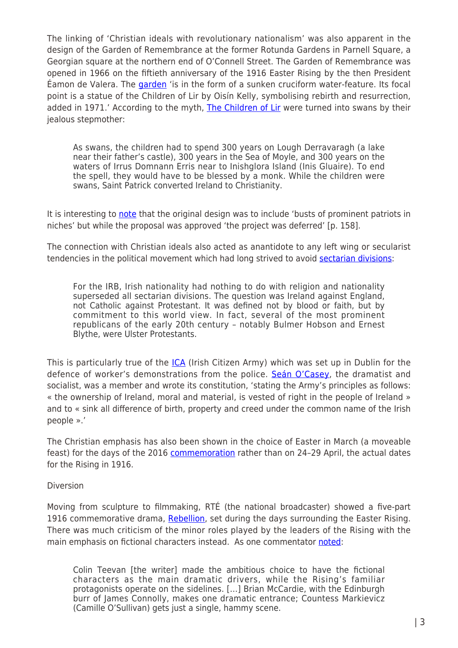The linking of 'Christian ideals with revolutionary nationalism' was also apparent in the design of the Garden of Remembrance at the former Rotunda Gardens in Parnell Square, a Georgian square at the northern end of O'Connell Street. The Garden of Remembrance was opened in 1966 on the fiftieth anniversary of the 1916 Easter Rising by the then President Éamon de Valera. The [garden](https://en.wikipedia.org/wiki/Garden_of_Remembrance_%28Dublin%29) 'is in the form of a sunken cruciform water-feature. Its focal point is a statue of the Children of Lir by Oisín Kelly, symbolising rebirth and resurrection, added in 1971.' According to the myth, [The Children of Lir](https://en.wikipedia.org/wiki/Children_of_Lir) were turned into swans by their jealous stepmother:

As swans, the children had to spend 300 years on Lough Derravaragh (a lake near their father's castle), 300 years in the Sea of Moyle, and 300 years on the waters of Irrus Domnann Erris near to Inishglora Island (Inis Gluaire). To end the spell, they would have to be blessed by a monk. While the children were swans, Saint Patrick converted Ireland to Christianity.

It is interesting to [note](http://www.amazon.co.uk/Irish-Public-Sculpture-History-Hardcover/dp/B00YZMNYTS/ref=sr_1_3?ie=UTF8&qid=1459276447&sr=8-3&keywords=irish+public+sculpture) that the original design was to include 'busts of prominent patriots in niches' but while the proposal was approved 'the project was deferred' [p. 158].

The connection with Christian ideals also acted as anantidote to any left wing or secularist tendencies in the political movement which had long strived to avoid [sectarian divisions](http://www.theirishstory.com/2011/04/23/%E2%80%98slaves-or-freemen%E2%80%99-sean-mcdermott-the-irb-and-the-psychology-of-the-easter-rising/#.VvrHetLnAoK):

For the IRB, Irish nationality had nothing to do with religion and nationality superseded all sectarian divisions. The question was Ireland against England, not Catholic against Protestant. It was defined not by blood or faith, but by commitment to this world view. In fact, several of the most prominent republicans of the early 20th century – notably Bulmer Hobson and Ernest Blythe, were Ulster Protestants.

This is particularly true of the *[ICA](https://en.wikipedia.org/wiki/Irish_Citizen_Army#The_Lockout)* (Irish Citizen Army) which was set up in Dublin for the defence of worker's demonstrations from the police. [Seán O'Casey](https://en.wikipedia.org/wiki/Se%C3%A1n_O), the dramatist and socialist, was a member and wrote its constitution, 'stating the Army's principles as follows: « the ownership of Ireland, moral and material, is vested of right in the people of Ireland » and to « sink all difference of birth, property and creed under the common name of the Irish people ».'

The Christian emphasis has also been shown in the choice of Easter in March (a moveable feast) for the days of the 2016 [commemoration](https://en.wikipedia.org/wiki/Easter_Rising#Date_of_commemoration) rather than on 24-29 April, the actual dates for the Rising in 1916.

### Diversion

Moving from sculpture to filmmaking, RTÉ (the national broadcaster) showed a five-part 1916 commemorative drama, [Rebellion](https://en.wikipedia.org/wiki/Rebellion_%28miniseries%29), set during the days surrounding the Easter Rising. There was much criticism of the minor roles played by the leaders of the Rising with the main emphasis on fictional characters instead. As one commentator [noted](http://www.irishtimes.com/culture/tv-radio-web/rebellion-review-rt%C3%A9-fires-first-salvo-in-1916-centenary-schedule-1.2483691):

Colin Teevan [the writer] made the ambitious choice to have the fictional characters as the main dramatic drivers, while the Rising's familiar protagonists operate on the sidelines. […] Brian McCardie, with the Edinburgh burr of James Connolly, makes one dramatic entrance; Countess Markievicz (Camille O'Sullivan) gets just a single, hammy scene.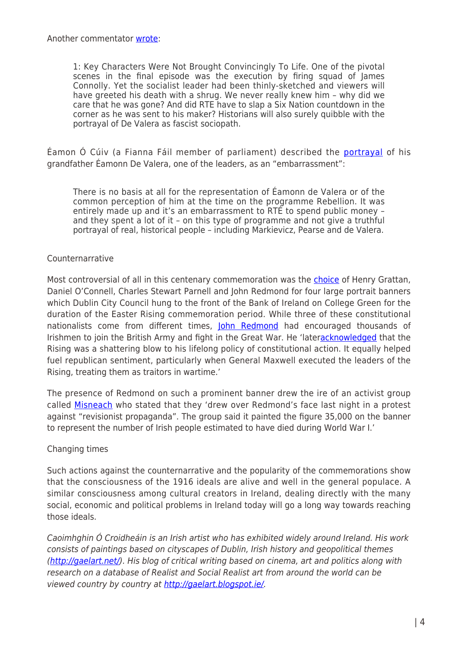1: Key Characters Were Not Brought Convincingly To Life. One of the pivotal scenes in the final episode was the execution by firing squad of James Connolly. Yet the socialist leader had been thinly-sketched and viewers will have greeted his death with a shrug. We never really knew him – why did we care that he was gone? And did RTE have to slap a Six Nation countdown in the corner as he was sent to his maker? Historians will also surely quibble with the portrayal of De Valera as fascist sociopath.

Éamon Ó Cúiv (a Fianna Fáil member of parliament) described the [portrayal](http://www.thejournal.ie/o-cuiv-rebellion-2580205-Feb2016/) of his grandfather Éamonn De Valera, one of the leaders, as an "embarrassment":

There is no basis at all for the representation of Éamonn de Valera or of the common perception of him at the time on the programme Rebellion. It was entirely made up and it's an embarrassment to RTÉ to spend public money – and they spent a lot of it – on this type of programme and not give a truthful portrayal of real, historical people – including Markievicz, Pearse and de Valera.

## Counternarrative

Most controversial of all in this centenary commemoration was the [choice](http://www.irishtimes.com/culture/heritage/four-unlikely-leaders-celebrated-on-easter-rising-banners-1.2573139) of Henry Grattan, Daniel O'Connell, Charles Stewart Parnell and John Redmond for four large portrait banners which Dublin City Council hung to the front of the Bank of Ireland on College Green for the duration of the Easter Rising commemoration period. While three of these constitutional nationalists come from different times, [John Redmond](https://en.wikipedia.org/wiki/John_Redmond) had encouraged thousands of Irishmen to join the British Army and fight in the Great War. He 'later[acknowledged](https://en.wikipedia.org/wiki/John_Redmond#Easter_Rising_and_aftermath) that the Rising was a shattering blow to his lifelong policy of constitutional action. It equally helped fuel republican sentiment, particularly when General Maxwell executed the leaders of the Rising, treating them as traitors in wartime.'

The presence of Redmond on such a prominent banner drew the ire of an activist group called [Misneach](http://www.thejournal.ie/misneach-1916-college-green-banner-john-redmond-2681018-Mar2016/) who stated that they 'drew over Redmond's face last night in a protest against "revisionist propaganda". The group said it painted the figure 35,000 on the banner to represent the number of Irish people estimated to have died during World War I.'

### Changing times

Such actions against the counternarrative and the popularity of the commemorations show that the consciousness of the 1916 ideals are alive and well in the general populace. A similar consciousness among cultural creators in Ireland, dealing directly with the many social, economic and political problems in Ireland today will go a long way towards reaching those ideals.

Caoimhghin Ó Croidheáin is an Irish artist who has exhibited widely around Ireland. His work consists of paintings based on cityscapes of Dublin, Irish history and geopolitical themes [\(http://gaelart.net/](http://gaelart.net/)). His blog of critical writing based on cinema, art and politics along with research on a database of Realist and Social Realist art from around the world can be viewed country by country at [http://gaelart.blogspot.ie/.](http://gaelart.blogspot.ie/)